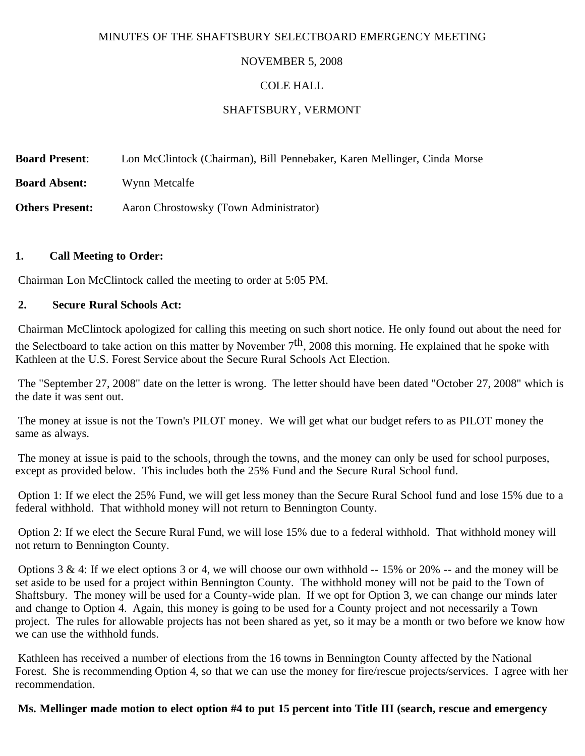### MINUTES OF THE SHAFTSBURY SELECTBOARD EMERGENCY MEETING

# NOVEMBER 5, 2008

### COLE HALL

# SHAFTSBURY, VERMONT

**Board Present**: Lon McClintock (Chairman), Bill Pennebaker, Karen Mellinger, Cinda Morse

**Board Absent:** Wynn Metcalfe

**Others Present:** Aaron Chrostowsky (Town Administrator)

### **1. Call Meeting to Order:**

Chairman Lon McClintock called the meeting to order at 5:05 PM.

### **2. Secure Rural Schools Act:**

Chairman McClintock apologized for calling this meeting on such short notice. He only found out about the need for the Selectboard to take action on this matter by November  $7<sup>th</sup>$ , 2008 this morning. He explained that he spoke with Kathleen at the U.S. Forest Service about the Secure Rural Schools Act Election.

The "September 27, 2008" date on the letter is wrong. The letter should have been dated "October 27, 2008" which is the date it was sent out.

The money at issue is not the Town's PILOT money. We will get what our budget refers to as PILOT money the same as always.

The money at issue is paid to the schools, through the towns, and the money can only be used for school purposes, except as provided below. This includes both the 25% Fund and the Secure Rural School fund.

Option 1: If we elect the 25% Fund, we will get less money than the Secure Rural School fund and lose 15% due to a federal withhold. That withhold money will not return to Bennington County.

Option 2: If we elect the Secure Rural Fund, we will lose 15% due to a federal withhold. That withhold money will not return to Bennington County.

Options  $3 \& 4$ : If we elect options  $3$  or  $4$ , we will choose our own withhold  $-15\%$  or  $20\%$  -- and the money will be set aside to be used for a project within Bennington County. The withhold money will not be paid to the Town of Shaftsbury. The money will be used for a County-wide plan. If we opt for Option 3, we can change our minds later and change to Option 4. Again, this money is going to be used for a County project and not necessarily a Town project. The rules for allowable projects has not been shared as yet, so it may be a month or two before we know how we can use the withhold funds.

Kathleen has received a number of elections from the 16 towns in Bennington County affected by the National Forest. She is recommending Option 4, so that we can use the money for fire/rescue projects/services. I agree with her recommendation.

**Ms. Mellinger made motion to elect option #4 to put 15 percent into Title III (search, rescue and emergency**